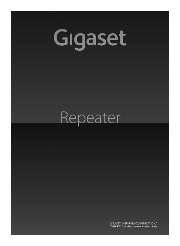# Gigaset

## Repeater

GIGASET. INSPIRING CONVERSATION." \*GIGASET. Pour des conversations inspirées.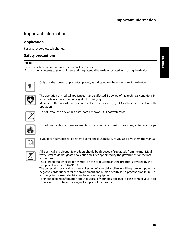#### Important information

#### **Application**

For Gigaset cordless telephones.

#### **Safety precautions**

#### **Note:**

Read the safety precautions and the manual before use. Explain their contents to your children, and the potential hazards associated with using the device.



Only use the power supply unit supplied, as indicated on the underside of the device.



The operation of medical appliances may be affected. Be aware of the technical conditions in your particular environment, e.g. doctor's surgery.

Maintain sufficient distance from other electronic devices (e.g. PC), as these can interfere with operation.



Do not install the device in a bathroom or shower. It is not waterproof.



Do not use the device in environments with a potential explosion hazard, e.g. auto paint shops.



If you give your Gigaset Repeater to someone else, make sure you also give them the manual.



All electrical and electronic products should be disposed of separately from the municipal waste stream via designated collection facilities appointed by the government or the local authorities.

This crossed-out wheeled bin symbol on the product means the product is covered by the European Directive 2002/96/EC.

The correct disposal and separate collection of your old appliance will help prevent potential negative consequences for the environment and human health. It is a precondition for reuse and recycling of used electrical and electronic equipment.

For more detailed information about disposal of your old appliance, please contact your local council refuse centre or the original supplier of the product.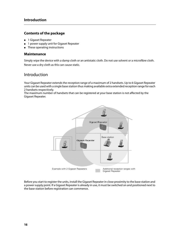#### **Contents of the package**

- 1 Gigaset Repeater
- 1 power supply unit for Gigaset Repeater
- These operating instructions

#### **Maintenance**

Simply wipe the device with a damp cloth or an antistatic cloth. Do not use solvent or a microfibre cloth. Never use a dry cloth as this can cause static.

#### Introduction

Your Gigaset Repeater extends the reception range of a maximum of 2 handsets. Up to 6 Gigaset Repeater units can be used with a single base station thus making available extra extended reception range for each 2 handsets respectively.

The maximum number of handsets that can be registered at your base station is not affected by the Gigaset Repeater.



Before you start to register the units, install the Gigaset Repeater in close proximity to the base station and a power supply point. If a Gigaset Repeater is already in use, it must be switched on and positioned next to the base station before registration can commence.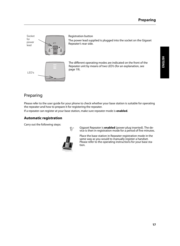**ENGLISH**

Socket for power lead LED's Registration button The power lead supplied is plugged into the socket on the Gigaset Repeater's rear side. The different operating modes are indicated on the front of the Repeater unit by means of two LED's (for an explanation, see page 19).

#### Preparing

Please refer to the user guide for your phone to check whether your base station is suitable for operating the repeater and how to prepare it for registering the repeater.

If a repeater can register at your base station, make sure repeater mode is **enabled**.

#### **Automatic registration**

Carry out the following steps:



\$ Gigaset Repeater is **enabled** (power plug inserted). The device is then in registration mode for a period of five minutes.

Place the base station in Repeater registration mode in the same way as you would to manually register a handset. Please refer to the operating instructions for your base station.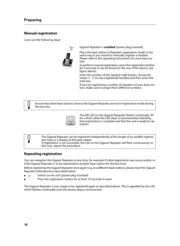#### **Manual registration**

Carry out the following steps:



Gigaset Repeater is **enabled** (power plug inserted).

Place the base station in Repeater registration mode in the same way as you would to manually register a handset. Please refer to the operating instructions for your base station.

To perform manual registration, press the registration button for 4 seconds (it can be found on the rear of the device, see figure above).

Enter the number of the repeater (talk button, choose between 2 - 7) on any (registered) handset and then press the hash key.

If you are registering a number of repeaters at your base station, make sure to assign them different numbers.

#### Ensure that other base stations close to the Gigaset Repeater are not in registration mode during this process.



The left LED on the Gigaset Repeater flashes continually. After a short while the LED stays on permanently indicating that registration is complete and that the unit is ready for operation.

#### The Gigaset Repeater can be registered independently of the length of an audible registration tone or a display at the base station. If registration is not successful, the LED on the Gigaset Repeater will flash continuously. In this case, repeat the procedure.

#### **Repeating registration**

You can reregister the Gigaset Repeater at any time, for example if initial registration was unsuccessful, or if the Gigaset Repeater is to be registered at another base station for the first time.

Before registering the Gigaset Repeater once again (e.g. at a different base station), please reset the Gigaset Repeater beforehand as described below:

- $\mathbb{R}^*$  Switch on the unit (power plug inserted)
- Press the registration button for at least 10 seconds to reset

The Gigaset Repeater is now ready to be registered again as described above. This is signalled by the LED which flashes continually once the power plug is reconnected.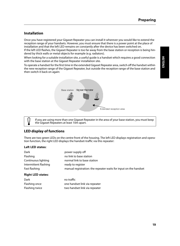#### **Installation**

Once you have registered your Gigaset Repeater you can install it wherever you would like to extend the reception range of your handsets. However, you must ensure that there is a power point at the place of installation and that the left LED remains on constantly after the device has been switched on.

If the left LED flashes, the Gigaset Repeater is too far away from the base station or reception is being hindered by thick walls or metal objects for example (e.g. radiators).

When looking for a suitable installation site, a useful guide is a handset which requires a good connection with the base station at the Gigaset Repeater installation site.

To operate a handset for the first time in the extended Gigaset Repeater area, switch off the handset within the new reception range of the Gigaset Repeater, but outside the reception range of the base station and then switch it back on again:



If you are using more than one Gigaset Repeater in the area of your base station, you must keep the Gigaset Repeaters at least 10m apart.

#### **LED display of functions**

There are two green LEDs on the centre front of the housing. The left LED displays registration and operation function, the right LED displays the handset-traffic via this repeater:

#### **Left LED states:**

| Dark                     | power supply off                                                 |
|--------------------------|------------------------------------------------------------------|
| Flashing                 | no link to base station                                          |
| Continuous lighting      | normal link to base station                                      |
| Intermittent flashing    | ready to register                                                |
| Fast flashing            | manual registration: the repeater waits for input on the handset |
| <b>Right LED states:</b> |                                                                  |
| Dark                     | no traffic                                                       |
| Flashing once            | one handset link via repeater                                    |
| Flashing twice           | two handset link via repeater                                    |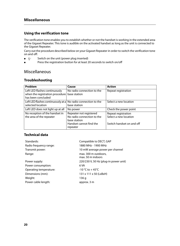#### **Using the verification tone**

The verification tone enables you to establish whether or not the handset is working in the extended area of the Gigaset Repeater. This tone is audible on the activated handset as long as the unit is connected to the Gigaset Repeater.

Carry out the procedure described below on your Gigaset Repeater in order to switch the verification tone on and off:

- $\bullet$   $\mathbb{R}$  Switch on the unit (power plug inserted)
- Press the registration button for at least 20 seconds to switch on/off

#### Miscellaneous

#### **Troubleshooting**

| Problem                                                                                | Cause                                                                                                        | Action                                                                    |
|----------------------------------------------------------------------------------------|--------------------------------------------------------------------------------------------------------------|---------------------------------------------------------------------------|
| Left LED flashes continuously<br>when the registration procedure<br>has been concluded | No radio connection to the<br>base station                                                                   | Repeat registration                                                       |
| Left LED flashes continuously at a No radio connection to the<br>selected location     | base station                                                                                                 | Select a new location                                                     |
| Left LED does not light up at all                                                      | No power                                                                                                     | Check the power point                                                     |
| No reception of the handset in<br>the area of the repeater                             | Repeater not registered<br>No radio connection to the<br>base station<br>Handset cannot find the<br>repeater | Repeat registration<br>Select a new location<br>Switch handset on and off |

#### **Technical data**

| Standards:             | Compatible to DECT, GAP                   |
|------------------------|-------------------------------------------|
| Radio frequency range: | 1880 MHz - 1900 MHz                       |
| Transmit power:        | 10 mW average power per channel           |
| Range:                 | max. 300 m outdoors,<br>max. 50 m indoors |
| Power supply:          | 220/230 V, 50 Hz (plug-in power unit)     |
| Power consumption:     | 6 VA                                      |
| Operating temperature: | $-10$ °C to $+45$ °C                      |
| Dimensions (mm):       | 131 x 111 x 50 (LxBxH)                    |
| Weight:                | 136 g                                     |
| Power cable length:    | approx. 3 m                               |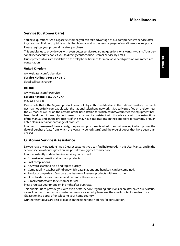#### **Service (Customer Care)**

You have questions? As a Gigaset customer, you can take advantage of our comprehensive service offerings. You can find help quickly in this User Manual and in the service pages of our Gigaset online portal. Please register your phone right after purchase.

This enables us to provide you with even better service regarding questions or a warranty claim. Your personal user account enables you to directly contact our customer service by email.

Our representatives are available on the telephone hotlines for more advanced questions or immediate consultation.

#### **United Kingdom**

www.gigaset.com/uk/service

#### **Service Hotline: 0845 367 0812**

(local call cost charge)

#### **Ireland**

www.gigaset.com/ie/service

#### **Service Hotline: 1850 777 277**

#### (6.6561 Ct./Call)

Please note that if the Gigaset product is not sold by authorised dealers in the national territory the product may not be fully compatible with the national telephone network. It is clearly specified on the box near the CE mark as well as on the bottom of the base station for which country/countries the equipment has been developed. If the equipment is used in a manner inconsistent with this advice or with the instructions of the manual and on the product itself, this may have implications on the conditions for warranty or guarantee claims (repair or exchange of product).

In order to make use of the warranty, the product purchaser is asked to submit a receipt which proves the date of purchase (date from which the warranty period starts) and the type of goods that have been purchased.

#### **Customer Service & Assistance**

Do you have any questions? As a Gigaset customer, you can find help quickly in this User Manual and in the service section of our Gigaset online portal www.gigaset.com/service.

In our constantly updated online service you can find:

- Extensive information about our products
- FAQ compilations
- Keyword search to help find topics quickly
- Compatibility database: Find out which base stations and handsets can be combined.
- Product comparison: Compare the features of several products with each other.
- Downloads for user manuals and current software updates
- E-mail contact form for customer service

Please register your phone online right after purchase.

This enables us to provide you with even better service regarding questions or an after sales query/issue/ claim. In order to contact our customer service via email, please use the email contact form from our Gigaset online portal after selecting your home country.

Our representatives are also available on the telephone hotlines for consultation.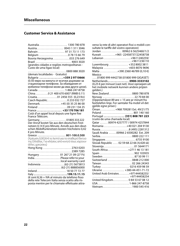#### **Customer Service & Assistance**

| Australia  1300 780 878                                                                       |  |
|-----------------------------------------------------------------------------------------------|--|
| Austria 0043 1 311 3046                                                                       |  |
|                                                                                               |  |
| Belgium 0 78 15 66 79                                                                         |  |
| Bosnia Herzegovina 033 276 649                                                                |  |
| Brazil  4003 3020                                                                             |  |
| (grandes cidades e regiões metropolitanas -                                                   |  |
| Custo de uma ligao local)                                                                     |  |
|                                                                                               |  |
| (demais localidades - Gratuito)                                                               |  |
| Bulgaria +359 2 9710666<br>(0.50 евро на минута от всички държави за                          |  |
| стационарни телефони. За обаждания от                                                         |  |
| мобилни телефони може да има други цени).                                                     |  |
| Canada  1-866 247-8758                                                                        |  |
| China 0 21 400 670 6007 (RMB 0.11)                                                            |  |
| Croatia01 2456 555 (0,23 Kn)                                                                  |  |
| Czech Republic. 0 233 032 727                                                                 |  |
| Denmark +45 (0) 35 25 86 00                                                                   |  |
| Finland 09 231 134 25                                                                         |  |
| France +33 170 706 181                                                                        |  |
| Coût d'un appel local depuis une ligne fixe                                                   |  |
| France Télécom.                                                                               |  |
| Germany 01805 333 222                                                                         |  |
| Der Anruf kostet Sie aus den deutschen Fest-                                                  |  |
| netzen 0,14 € pro Minute. Anrufe aus den deut-<br>schen Mobilfunknetzen kosten höchstens 0,42 |  |
| $\epsilon$ pro Minute.                                                                        |  |
|                                                                                               |  |
|                                                                                               |  |
| της Ελλάδας. Για κλήσεις από κινητό ίσως ισχύουν                                              |  |
| άλλες χρεώσεις)                                                                               |  |
| Hong Kong  2763 0203                                                                          |  |
|                                                                                               |  |
| Hungary  01 267 21 09 (27 Ft)                                                                 |  |
| IndiaPlease refer to your                                                                     |  |
| local warranty card                                                                           |  |
|                                                                                               |  |
| $\ldots \ldots \ldots \ldots \ldots \ldots \ldots \ldots (62-21) 888856000$                   |  |
| Ireland 18 50 77 72 77                                                                        |  |
| Italy 199.15.11.15<br>(€ cent 8,36 + IVA al minuto da telefono fisso                          |  |
| della rete Telecom Italia senza scatto alla ris-                                              |  |
| posta mentre per le chiamate effettuate attra-                                                |  |
|                                                                                               |  |

| verso la rete di altri operatori fissi o mobili con-<br>sultate le tariffe del vostro operatore) |
|--------------------------------------------------------------------------------------------------|
| Jordan  00962 6 5625460/1/2                                                                      |
| Kuwait +965 -22458737/22458738                                                                   |
| Lebanon +9611240259/                                                                             |
|                                                                                                  |
|                                                                                                  |
| Luxembourg  +352 8002 3811                                                                       |
| Malaysia  +603-8076 9696                                                                         |
| Malta +390 2360 46789 (0,10 €)                                                                   |
| Mexico<br>01800 999 4442738 (01800 999 GIGASET)                                                  |
|                                                                                                  |
| Netherlands 0900-3333102<br><br>(0,25 € per minuut (vast net). Voor oproepen uit                 |
| het mobiele netwerk kunnen andere prijzen                                                        |
| qelden.)                                                                                         |
| New Zealand 0800 780 878                                                                         |
| Norway  22 70 84 00                                                                              |
| (Oppstartskost 89 øre + 15 øre pr minutt fra                                                     |
| fasttelefon linje. For samtaler fra mobil vil det                                                |
| gjelde egne priser.)                                                                             |
| Oman+968 709281 Ext. 49/21/75                                                                    |
| Poland  801 140 160                                                                              |
| Portugal  (351) 808 781 223                                                                      |
| (custo de uma chamada local)                                                                     |
| Qatar  00974 4257777 / 00974 4257844                                                             |
| Romania +40 021 204 9130                                                                         |
| Russia8 (495) 2281312                                                                            |
| Saudi Arabia 00966 2 6500282 Ext. 209                                                            |
|                                                                                                  |
| Serbia 0800 222 111                                                                              |
| Singapore 6735 9100                                                                              |
| Slovak Republic  02 59 68 22 66 (4,428 sk)                                                       |
|                                                                                                  |
| South Africa+2711 46 13 181                                                                      |
| Spain 902 103935                                                                                 |
| Sweden  87 50 99 11                                                                              |
| Switzerland  0848 212 000                                                                        |
|                                                                                                  |
|                                                                                                  |
| Turkey  0216 459 98 59                                                                           |
| Ukraine  +380-44-451-71-72                                                                       |
| United Arab Emirates +97144458255/                                                               |
| +97144458254                                                                                     |
| United Kingdom. 0 84 53 67 08 12                                                                 |
| USA1-866 247-8758                                                                                |
| Vietnam 1900 545 416                                                                             |
|                                                                                                  |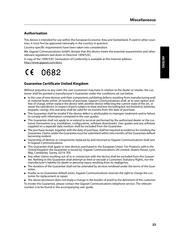#### **Authorisation**

This device is intended for use within the European Economic Area and Switzerland. If used in other countries, it must first be approved nationally in the country in question.

Country-specific requirements have been taken into consideration.

We, Gigaset Communications GmbH, declare that this device meets the essential requirements and other relevant regulations laid down in Directive 1999/5/EC.

A copy of the 1999/5/EC Declaration of Conformity is available at this Internet address: http://www.gigaset.com/docs.

### $C\epsilon$  0682

#### **Guarantee Certificate United Kingdom**

Without prejudice to any claim the user (customer) may have in relation to the dealer or retailer, the customer shall be granted a manufacturer's Guarantee under the conditions set out below:

- In the case of new devices and their components exhibiting defects resulting from manufacturing and/ or material faults within 24 months of purchase, Gigaset Communications shall, at its own option and free of charge, either replace the device with another device reflecting the current state of the art, or repair the said device. In respect of parts subject to wear and tear (including but not limited to, batteries, keypads, casing), this warranty shall be valid for six months from the date of purchase.
- This Guarantee shall be invalid if the device defect is attributable to improper treatment and/or failure to comply with information contained in the user guides.
- This Guarantee shall not apply to or extend to services performed by the authorised dealer or the customer themselves (e.g. installation, configuration, software downloads). User guides and any software supplied on a separate data medium shall be excluded from the Guarantee.
- The purchase receipt, together with the date of purchase, shall be required as evidence for invoking the Guarantee. Claims under the Guarantee must be submitted within two months of the Guarantee default becoming evident.
- Ownership of devices or components replaced by and returned to Gigaset Communications shall vest in Gigaset Communications.
- This Guarantee shall apply to new devices purchased in the European Union. For Products sold in the United Kingdom the Guarantee is issued by: Gigaset Communications UK Limited, Quatro House, Lyon Way, Camberley, Surrey, GU16 7ER.
- Any other claims resulting out of or in connection with the device shall be excluded from this Guarantee. Nothing in this Guarantee shall attempt to limit or exclude a Customers Statutory Rights, nor the manufacturer's liability for death or personal injury resulting from its negligence.
- The duration of the Guarantee shall not be extended by services rendered under the terms of the Guarantee.
- Insofar as no Guarantee default exists, Gigaset Communications reserves the right to charge the customer for replacement or repair.
- The above provisions does not imply a change in the burden of proof to the detriment of the customer. To invoke this Guarantee, please contact the Gigaset Communications telephone service. The relevant number is to be found in the accompanying user guide.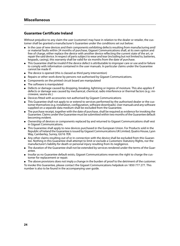#### **Guarantee Certificate Ireland**

Without prejudice to any claim the user (customer) may have in relation to the dealer or retailer, the customer shall be granted a manufacturer's Guarantee under the conditions set out below:

- In the case of new devices and their components exhibiting defects resulting from manufacturing and/ or material faults within 24 months of purchase, Gigaset Communications shall, at its own option and free of charge, either replace the device with another device reflecting the current state of the art, or repair the said device. In respect of parts subject to wear and tear (including but not limited to, batteries, keypads, casing), this warranty shall be valid for six months from the date of purchase.
- This Guarantee shall be invalid if the device defect is attributable to improper care or use and/or failure to comply with information contained in the user manuals. In particular claims under the Guarantee cannot be made if:
- The device is opened (this is classed as third party intervention)
- Repairs or other work done by persons not authorised by Gigaset Communications.
- Components on the printed circuit board are manipulated
- The software is manipulated
- Defects or damage caused by dropping, breaking, lightning or ingress of moisture. This also applies if defects or damage was caused by mechanical, chemical, radio interference or thermal factors (e.g.: microwave, sauna etc.)
- Devices fitted with accessories not authorised by Gigaset Communications
- This Guarantee shall not apply to or extend to services performed by the authorised dealer or the customer themselves (e.g. installation, configuration, software downloads). User manuals and any software supplied on a separate data medium shall be excluded from the Guarantee.
- The purchase receipt, together with the date of purchase, shall be required as evidence for invoking the Guarantee. Claims under the Guarantee must be submitted within two months of the Guarantee default becoming evident.
- Ownership of devices or components replaced by and returned to Gigaset Communications shall vest in Gigaset Communications.
- This Guarantee shall apply to new devices purchased in the European Union. For Products sold in the Republic of Ireland the Guarantee is issued by Gigaset Communications UK Limited, Quatro House, Lyon Way, Camberley, Surrey, GU16 7ER.
- Any other claims resulting out of or in connection with the device shall be excluded from this Guarantee. Nothing in this Guarantee shall attempt to limit or exclude a Customers Statutory Rights, nor the manufacturer's liability for death or personal injury resulting from its negligence.
- The duration of the Guarantee shall not be extended by services rendered under the terms of the Guarantee.
- Insofar as no Guarantee default exists, Gigaset Communications reserves the right to charge the customer for replacement or repair.
- The above provisions does not imply a change in the burden of proof to the detriment of the customer.

To invoke this Guarantee, please contact the Gigaset Communications helpdesk on 1850 777 277. This number is also to be found in the accompanying user guide.